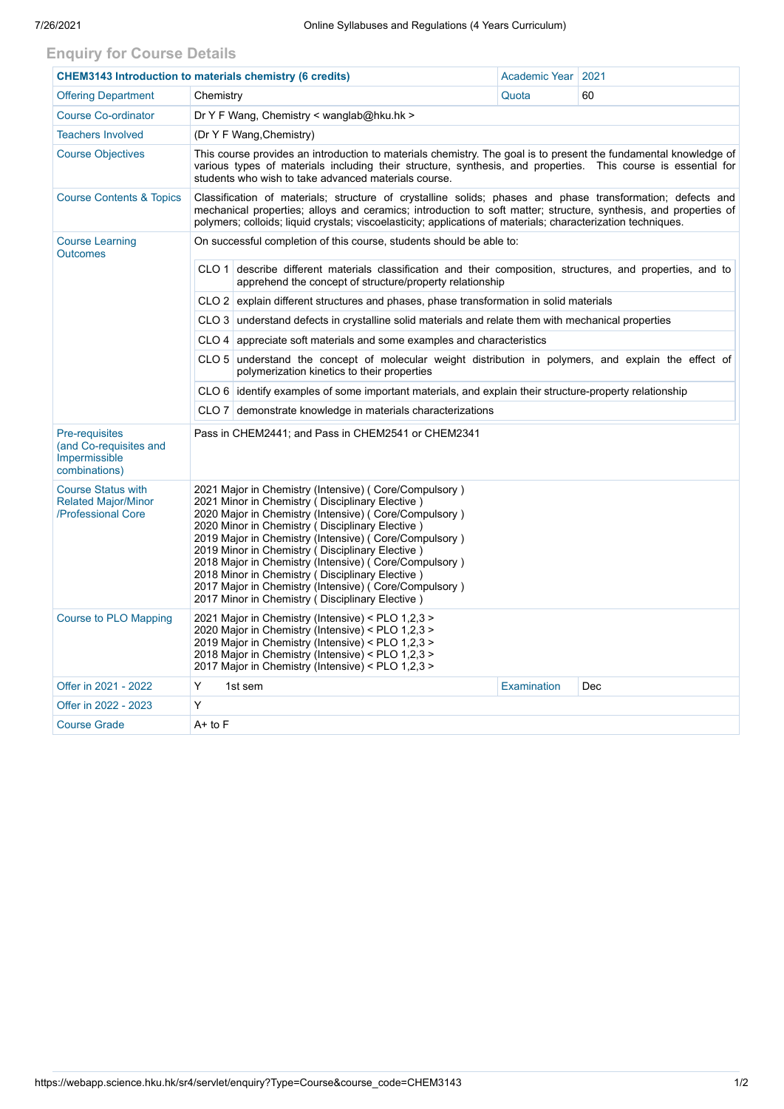## **Enquiry for Course Details**

| <b>CHEM3143 Introduction to materials chemistry (6 credits)</b>               |                                                                                                                                                                                                                                                                                                                                                                                                                                                                                                                                                          | Academic Year                        | 2021  |    |  |  |  |  |  |
|-------------------------------------------------------------------------------|----------------------------------------------------------------------------------------------------------------------------------------------------------------------------------------------------------------------------------------------------------------------------------------------------------------------------------------------------------------------------------------------------------------------------------------------------------------------------------------------------------------------------------------------------------|--------------------------------------|-------|----|--|--|--|--|--|
| <b>Offering Department</b>                                                    | Chemistry                                                                                                                                                                                                                                                                                                                                                                                                                                                                                                                                                |                                      | Quota | 60 |  |  |  |  |  |
| <b>Course Co-ordinator</b>                                                    | Dr Y F Wang, Chemistry < wanglab@hku.hk >                                                                                                                                                                                                                                                                                                                                                                                                                                                                                                                |                                      |       |    |  |  |  |  |  |
| <b>Teachers Involved</b>                                                      | (Dr Y F Wang, Chemistry)                                                                                                                                                                                                                                                                                                                                                                                                                                                                                                                                 |                                      |       |    |  |  |  |  |  |
| <b>Course Objectives</b>                                                      | This course provides an introduction to materials chemistry. The goal is to present the fundamental knowledge of<br>various types of materials including their structure, synthesis, and properties. This course is essential for<br>students who wish to take advanced materials course.                                                                                                                                                                                                                                                                |                                      |       |    |  |  |  |  |  |
| <b>Course Contents &amp; Topics</b>                                           | Classification of materials; structure of crystalline solids; phases and phase transformation; defects and<br>mechanical properties; alloys and ceramics; introduction to soft matter; structure, synthesis, and properties of<br>polymers; colloids; liquid crystals; viscoelasticity; applications of materials; characterization techniques.                                                                                                                                                                                                          |                                      |       |    |  |  |  |  |  |
| <b>Course Learning</b><br><b>Outcomes</b>                                     | On successful completion of this course, students should be able to:                                                                                                                                                                                                                                                                                                                                                                                                                                                                                     |                                      |       |    |  |  |  |  |  |
|                                                                               | describe different materials classification and their composition, structures, and properties, and to<br>CLO 1<br>apprehend the concept of structure/property relationship                                                                                                                                                                                                                                                                                                                                                                               |                                      |       |    |  |  |  |  |  |
|                                                                               | CLO 2 explain different structures and phases, phase transformation in solid materials                                                                                                                                                                                                                                                                                                                                                                                                                                                                   |                                      |       |    |  |  |  |  |  |
|                                                                               | $CLO3$ understand defects in crystalline solid materials and relate them with mechanical properties                                                                                                                                                                                                                                                                                                                                                                                                                                                      |                                      |       |    |  |  |  |  |  |
|                                                                               | CLO 4   appreciate soft materials and some examples and characteristics                                                                                                                                                                                                                                                                                                                                                                                                                                                                                  |                                      |       |    |  |  |  |  |  |
|                                                                               | CLO 5 understand the concept of molecular weight distribution in polymers, and explain the effect of<br>polymerization kinetics to their properties                                                                                                                                                                                                                                                                                                                                                                                                      |                                      |       |    |  |  |  |  |  |
|                                                                               | CLO 6 identify examples of some important materials, and explain their structure-property relationship                                                                                                                                                                                                                                                                                                                                                                                                                                                   |                                      |       |    |  |  |  |  |  |
|                                                                               | CLO 7 demonstrate knowledge in materials characterizations                                                                                                                                                                                                                                                                                                                                                                                                                                                                                               |                                      |       |    |  |  |  |  |  |
| Pre-requisites<br>(and Co-requisites and<br>Impermissible<br>combinations)    | Pass in CHEM2441; and Pass in CHEM2541 or CHEM2341                                                                                                                                                                                                                                                                                                                                                                                                                                                                                                       |                                      |       |    |  |  |  |  |  |
| <b>Course Status with</b><br><b>Related Major/Minor</b><br>/Professional Core | 2021 Major in Chemistry (Intensive) (Core/Compulsory)<br>2021 Minor in Chemistry (Disciplinary Elective)<br>2020 Major in Chemistry (Intensive) (Core/Compulsory)<br>2020 Minor in Chemistry (Disciplinary Elective)<br>2019 Major in Chemistry (Intensive) (Core/Compulsory)<br>2019 Minor in Chemistry (Disciplinary Elective)<br>2018 Major in Chemistry (Intensive) (Core/Compulsory)<br>2018 Minor in Chemistry (Disciplinary Elective)<br>2017 Major in Chemistry (Intensive) (Core/Compulsory)<br>2017 Minor in Chemistry (Disciplinary Elective) |                                      |       |    |  |  |  |  |  |
| <b>Course to PLO Mapping</b>                                                  | 2021 Major in Chemistry (Intensive) < PLO 1,2,3 ><br>2020 Major in Chemistry (Intensive) < PLO 1,2,3 ><br>2019 Major in Chemistry (Intensive) < PLO 1,2,3 ><br>2018 Major in Chemistry (Intensive) < PLO 1,2,3 ><br>2017 Major in Chemistry (Intensive) < PLO 1,2,3 >                                                                                                                                                                                                                                                                                    |                                      |       |    |  |  |  |  |  |
| Offer in 2021 - 2022                                                          | Y                                                                                                                                                                                                                                                                                                                                                                                                                                                                                                                                                        | 1st sem<br><b>Examination</b><br>Dec |       |    |  |  |  |  |  |
| Offer in 2022 - 2023                                                          | Y                                                                                                                                                                                                                                                                                                                                                                                                                                                                                                                                                        |                                      |       |    |  |  |  |  |  |
| <b>Course Grade</b>                                                           | $A+$ to $F$                                                                                                                                                                                                                                                                                                                                                                                                                                                                                                                                              |                                      |       |    |  |  |  |  |  |